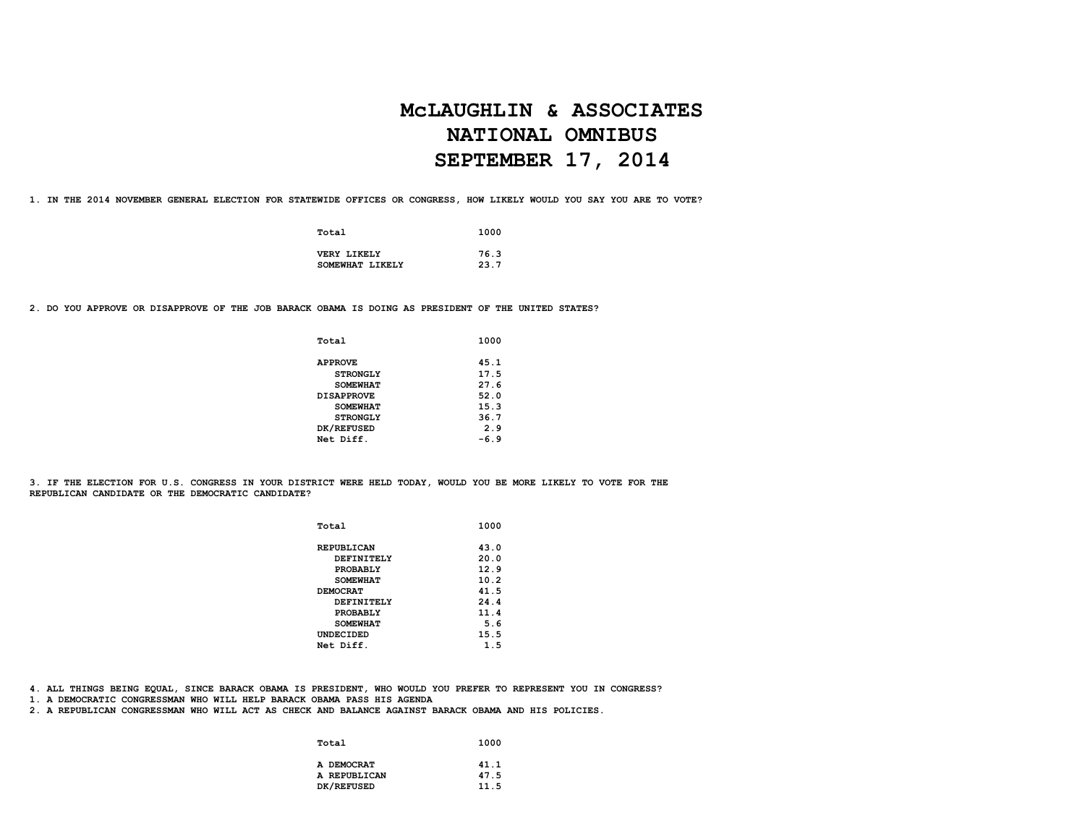# **McLAUGHLIN & ASSOCIATES NATIONAL OMNIBUS SEPTEMBER 17, 2014**

**1. IN THE 2014 NOVEMBER GENERAL ELECTION FOR STATEWIDE OFFICES OR CONGRESS, HOW LIKELY WOULD YOU SAY YOU ARE TO VOTE?**

| Total           | 1000 |
|-----------------|------|
| VERY LIKELY     | 76.3 |
| SOMEWHAT LIKELY | 23.7 |

**2. DO YOU APPROVE OR DISAPPROVE OF THE JOB BARACK OBAMA IS DOING AS PRESIDENT OF THE UNITED STATES?**

| Total             | 1000   |
|-------------------|--------|
| <b>APPROVE</b>    | 45.1   |
| <b>STRONGLY</b>   | 17.5   |
| <b>SOMEWHAT</b>   | 27.6   |
| <b>DISAPPROVE</b> | 52.0   |
| <b>SOMEWHAT</b>   | 15.3   |
| <b>STRONGLY</b>   | 36.7   |
| DK/REFUSED        | 2.9    |
| Net Diff.         | $-6.9$ |

**3. IF THE ELECTION FOR U.S. CONGRESS IN YOUR DISTRICT WERE HELD TODAY, WOULD YOU BE MORE LIKELY TO VOTE FOR THE REPUBLICAN CANDIDATE OR THE DEMOCRATIC CANDIDATE?** 

| Total             | 1000 |
|-------------------|------|
| <b>REPUBLICAN</b> | 43.0 |
| DEFINITELY        | 20.0 |
| PROBABLY          | 12.9 |
| <b>SOMEWHAT</b>   | 10.2 |
| <b>DEMOCRAT</b>   | 41.5 |
| DEFINITELY        | 24.4 |
| PROBABLY          | 11.4 |
| <b>SOMEWHAT</b>   | 5.6  |
| UNDECIDED         | 15.5 |
| Net Diff.         | 1.5  |

**4. ALL THINGS BEING EQUAL, SINCE BARACK OBAMA IS PRESIDENT, WHO WOULD YOU PREFER TO REPRESENT YOU IN CONGRESS?**

**1. A DEMOCRATIC CONGRESSMAN WHO WILL HELP BARACK OBAMA PASS HIS AGENDA**

**2. A REPUBLICAN CONGRESSMAN WHO WILL ACT AS CHECK AND BALANCE AGAINST BARACK OBAMA AND HIS POLICIES.**

| Total        | 1000 |
|--------------|------|
| A DEMOCRAT   | 41.1 |
| A REPUBLICAN | 47.5 |
| DK/REFUSED   | 11.5 |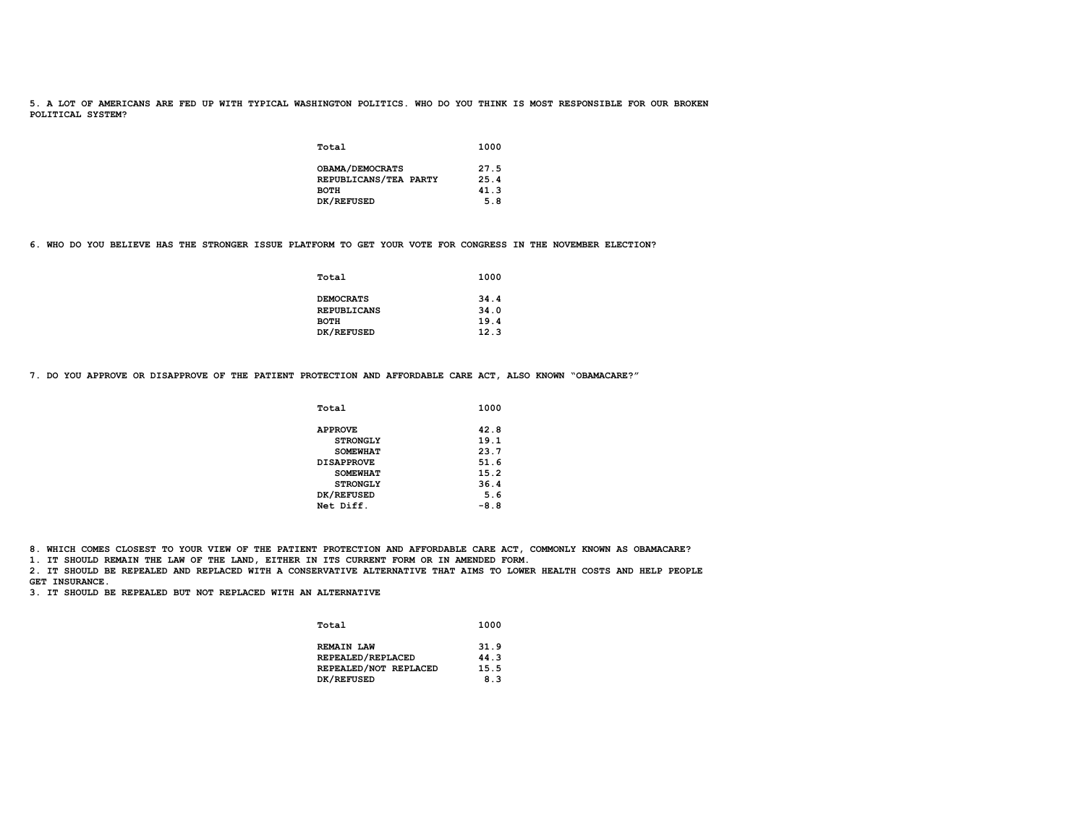**5. A LOT OF AMERICANS ARE FED UP WITH TYPICAL WASHINGTON POLITICS. WHO DO YOU THINK IS MOST RESPONSIBLE FOR OUR BROKEN POLITICAL SYSTEM?**

| Total                  | 1000                                 |
|------------------------|--------------------------------------|
| <b>OBAMA/DEMOCRATS</b> | 27.5<br>25.4                         |
|                        | 41.3                                 |
| DK/REFUSED             | 5.8                                  |
|                        | REPUBLICANS/TEA PARTY<br><b>BOTH</b> |

**6. WHO DO YOU BELIEVE HAS THE STRONGER ISSUE PLATFORM TO GET YOUR VOTE FOR CONGRESS IN THE NOVEMBER ELECTION?**

| Total              | 1000 |
|--------------------|------|
| <b>DEMOCRATS</b>   | 34.4 |
| <b>REPUBLICANS</b> | 34.0 |
| <b>BOTH</b>        | 19.4 |
| DK/REFUSED         | 12.3 |
|                    |      |

**7. DO YOU APPROVE OR DISAPPROVE OF THE PATIENT PROTECTION AND AFFORDABLE CARE ACT, ALSO KNOWN "OBAMACARE?"**

| Total             | 1000   |
|-------------------|--------|
| <b>APPROVE</b>    | 42.8   |
| <b>STRONGLY</b>   | 19.1   |
| <b>SOMEWHAT</b>   | 23.7   |
| <b>DISAPPROVE</b> | 51.6   |
| <b>SOMEWHAT</b>   | 15.2   |
| <b>STRONGLY</b>   | 36.4   |
| DK/REFUSED        | 5.6    |
| Net Diff.         | $-8.8$ |
|                   |        |

**8. WHICH COMES CLOSEST TO YOUR VIEW OF THE PATIENT PROTECTION AND AFFORDABLE CARE ACT, COMMONLY KNOWN AS OBAMACARE?**

**1. IT SHOULD REMAIN THE LAW OF THE LAND, EITHER IN ITS CURRENT FORM OR IN AMENDED FORM.**

**2. IT SHOULD BE REPEALED AND REPLACED WITH A CONSERVATIVE ALTERNATIVE THAT AIMS TO LOWER HEALTH COSTS AND HELP PEOPLE GET INSURANCE.**

**3. IT SHOULD BE REPEALED BUT NOT REPLACED WITH AN ALTERNATIVE**

| Total | 1000                          |
|-------|-------------------------------|
|       | 31.9<br><b>REMAIN LAW</b>     |
|       | REPEALED/REPLACED<br>44.3     |
|       | REPEALED/NOT REPLACED<br>15.5 |
|       | DK/REFUSED<br>8.3             |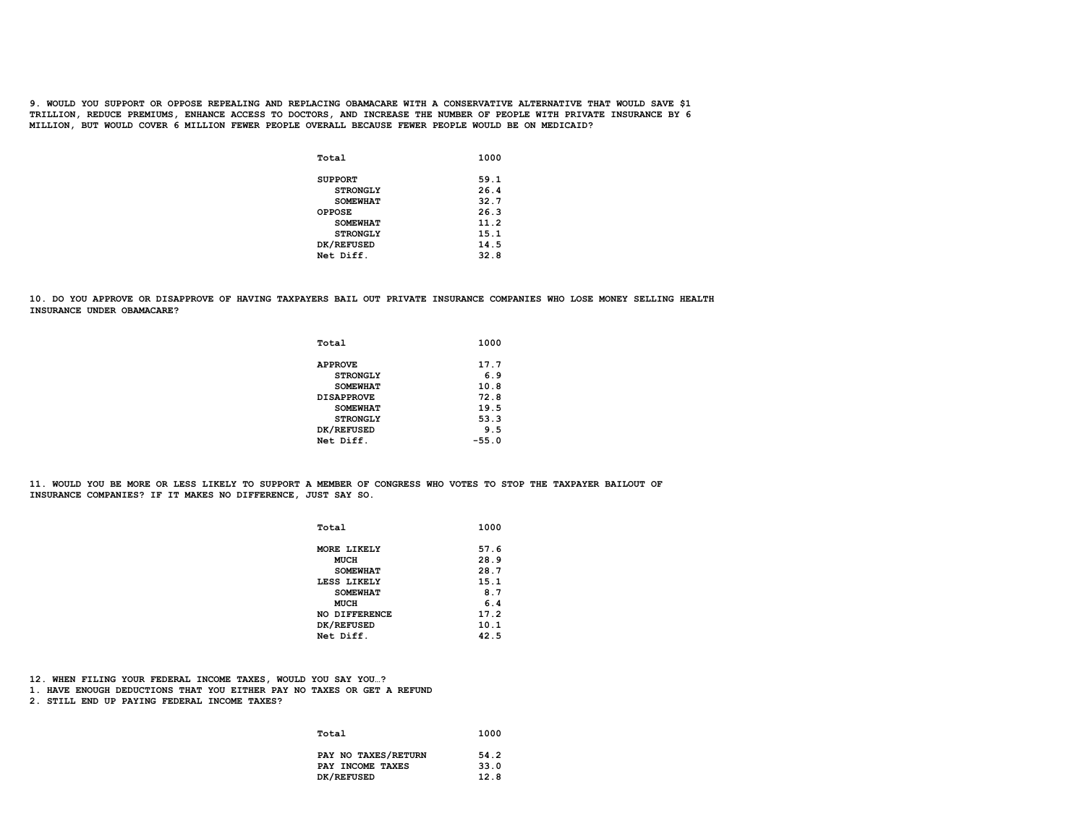**9. WOULD YOU SUPPORT OR OPPOSE REPEALING AND REPLACING OBAMACARE WITH A CONSERVATIVE ALTERNATIVE THAT WOULD SAVE \$1 TRILLION, REDUCE PREMIUMS, ENHANCE ACCESS TO DOCTORS, AND INCREASE THE NUMBER OF PEOPLE WITH PRIVATE INSURANCE BY 6 MILLION, BUT WOULD COVER 6 MILLION FEWER PEOPLE OVERALL BECAUSE FEWER PEOPLE WOULD BE ON MEDICAID?**

| Total           | 1000 |
|-----------------|------|
| <b>SUPPORT</b>  | 59.1 |
| <b>STRONGLY</b> | 26.4 |
| <b>SOMEWHAT</b> | 32.7 |
| <b>OPPOSE</b>   | 26.3 |
| <b>SOMEWHAT</b> | 11.2 |
| <b>STRONGLY</b> | 15.1 |
| DK/REFUSED      | 14.5 |
| Net Diff.       | 32.8 |
|                 |      |

**10. DO YOU APPROVE OR DISAPPROVE OF HAVING TAXPAYERS BAIL OUT PRIVATE INSURANCE COMPANIES WHO LOSE MONEY SELLING HEALTH INSURANCE UNDER OBAMACARE?**

| Total             | 1000    |
|-------------------|---------|
| <b>APPROVE</b>    | 17.7    |
| <b>STRONGLY</b>   | 6.9     |
| <b>SOMEWHAT</b>   | 10.8    |
| <b>DISAPPROVE</b> | 72.8    |
| <b>SOMEWHAT</b>   | 19.5    |
| <b>STRONGLY</b>   | 53.3    |
| DK/REFUSED        | 9.5     |
| Net Diff.         | $-55.0$ |

**11. WOULD YOU BE MORE OR LESS LIKELY TO SUPPORT A MEMBER OF CONGRESS WHO VOTES TO STOP THE TAXPAYER BAILOUT OF INSURANCE COMPANIES? IF IT MAKES NO DIFFERENCE, JUST SAY SO.**

| 57.6<br>MORE LIKELY<br>28.9<br><b>MUCH</b><br>28.7<br><b>SOMEWHAT</b><br>15.1<br>LESS LIKELY<br>8.7<br><b>SOMEWHAT</b><br>6.4<br><b>MUCH</b><br>17.2<br><b>NO DIFFERENCE</b><br>DK/REFUSED<br>10.1<br>Net Diff.<br>42.5 | Total | 1000 |
|-------------------------------------------------------------------------------------------------------------------------------------------------------------------------------------------------------------------------|-------|------|
|                                                                                                                                                                                                                         |       |      |
|                                                                                                                                                                                                                         |       |      |
|                                                                                                                                                                                                                         |       |      |
|                                                                                                                                                                                                                         |       |      |
|                                                                                                                                                                                                                         |       |      |
|                                                                                                                                                                                                                         |       |      |
|                                                                                                                                                                                                                         |       |      |
|                                                                                                                                                                                                                         |       |      |
|                                                                                                                                                                                                                         |       |      |

**12. WHEN FILING YOUR FEDERAL INCOME TAXES, WOULD YOU SAY YOU…?**

**1. HAVE ENOUGH DEDUCTIONS THAT YOU EITHER PAY NO TAXES OR GET A REFUND**

**2. STILL END UP PAYING FEDERAL INCOME TAXES?**

| Total               | 1000 |
|---------------------|------|
| PAY NO TAXES/RETURN | 54.2 |
| PAY INCOME TAXES    | 33.0 |
| DK/REFUSED          | 12.8 |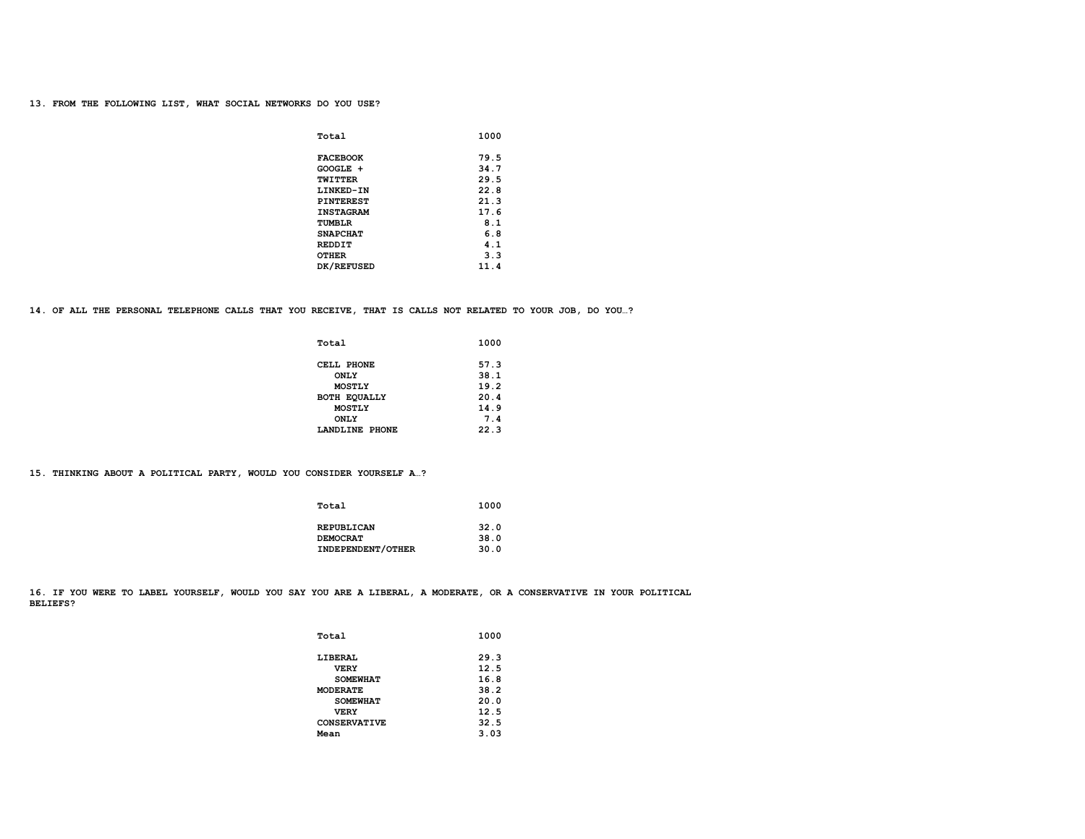# **13. FROM THE FOLLOWING LIST, WHAT SOCIAL NETWORKS DO YOU USE?**

| Total            | 1000 |
|------------------|------|
| <b>FACEBOOK</b>  | 79.5 |
| GOOGLE +         | 34.7 |
| TWITTER          | 29.5 |
| LINKED-IN        | 22.8 |
| <b>PINTEREST</b> | 21.3 |
| <b>INSTAGRAM</b> | 17.6 |
| TUMBLR           | 8.1  |
| <b>SNAPCHAT</b>  | 6.8  |
| <b>REDDIT</b>    | 4.1  |
| <b>OTHER</b>     | 3.3  |
| DK/REFUSED       | 11.4 |

### **14. OF ALL THE PERSONAL TELEPHONE CALLS THAT YOU RECEIVE, THAT IS CALLS NOT RELATED TO YOUR JOB, DO YOU…?**

| Total          | 1000 |
|----------------|------|
| CELL PHONE     | 57.3 |
| <b>ONLY</b>    | 38.1 |
| <b>MOSTLY</b>  | 19.2 |
| BOTH EQUALLY   | 20.4 |
| <b>MOSTLY</b>  | 14.9 |
| <b>ONLY</b>    | 7.4  |
| LANDLINE PHONE | 22.3 |

**15. THINKING ABOUT A POLITICAL PARTY, WOULD YOU CONSIDER YOURSELF A…?**

| Total             | 1000 |
|-------------------|------|
| REPUBLICAN        | 32.0 |
| <b>DEMOCRAT</b>   | 38.0 |
| INDEPENDENT/OTHER | 30.0 |

**16. IF YOU WERE TO LABEL YOURSELF, WOULD YOU SAY YOU ARE A LIBERAL, A MODERATE, OR A CONSERVATIVE IN YOUR POLITICAL BELIEFS?**

| Total               | 1000 |
|---------------------|------|
| <b>LIBERAL</b>      | 29.3 |
| <b>VERY</b>         | 12.5 |
| <b>SOMEWHAT</b>     | 16.8 |
| <b>MODERATE</b>     | 38.2 |
| <b>SOMEWHAT</b>     | 20.0 |
| <b>VERY</b>         | 12.5 |
| <b>CONSERVATIVE</b> | 32.5 |
| Mean                | 3.03 |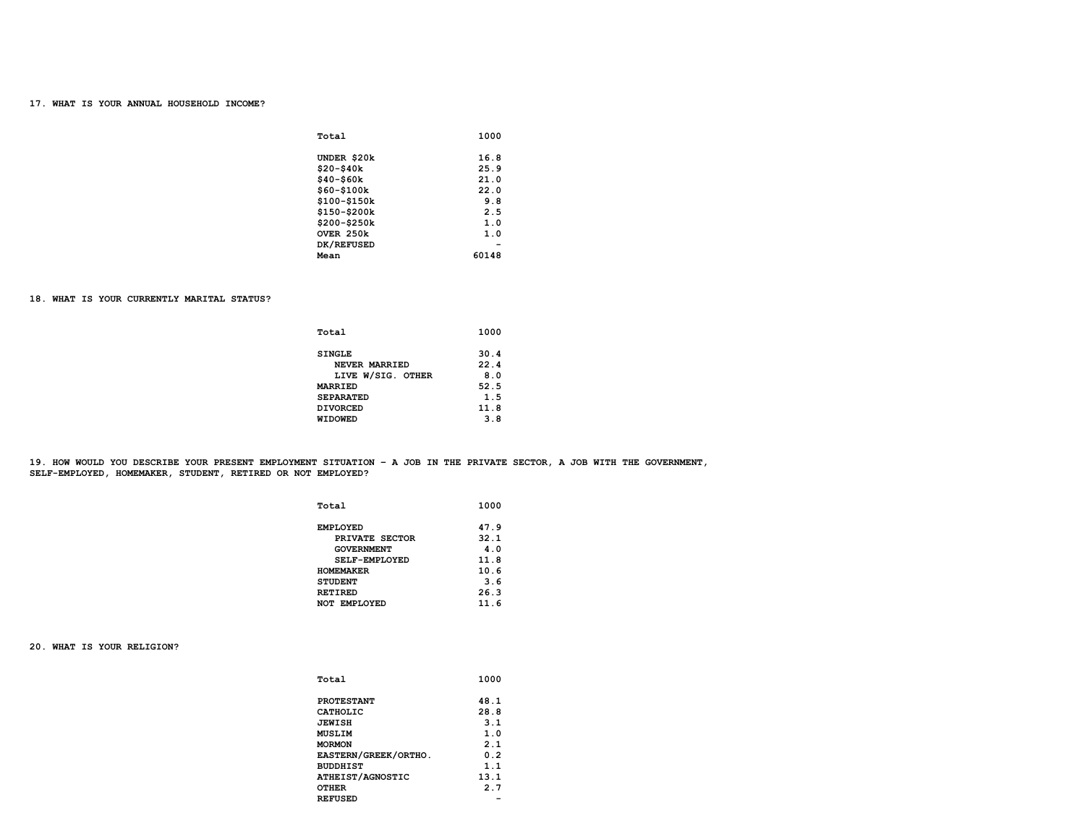## **17. WHAT IS YOUR ANNUAL HOUSEHOLD INCOME?**

| Total         | 1000                     |
|---------------|--------------------------|
| UNDER \$20k   | 16.8                     |
| \$20-\$40k    | 25.9                     |
| $$40 - $60k$  | 21.0                     |
| $$60 - $100k$ | 22.0                     |
| \$100-\$150k  | 9.8                      |
| \$150-\$200k  | 2.5                      |
| \$200-\$250k  | 1.0                      |
| OVER 250k     | 1.0                      |
| DK/REFUSED    | $\overline{\phantom{0}}$ |
| Mean          | 60148                    |

### **18. WHAT IS YOUR CURRENTLY MARITAL STATUS?**

| Total             | 1000 |
|-------------------|------|
| <b>SINGLE</b>     | 30.4 |
| NEVER MARRIED     | 22.4 |
| LIVE W/SIG. OTHER | 8.0  |
| <b>MARRIED</b>    | 52.5 |
| <b>SEPARATED</b>  | 1.5  |
| <b>DIVORCED</b>   | 11.8 |
| <b>WIDOWED</b>    | 3.8  |
|                   |      |

**19. HOW WOULD YOU DESCRIBE YOUR PRESENT EMPLOYMENT SITUATION – A JOB IN THE PRIVATE SECTOR, A JOB WITH THE GOVERNMENT, SELF-EMPLOYED, HOMEMAKER, STUDENT, RETIRED OR NOT EMPLOYED?**

| Total                | 1000 |
|----------------------|------|
| <b>EMPLOYED</b>      | 47.9 |
| PRIVATE SECTOR       | 32.1 |
| <b>GOVERNMENT</b>    | 4.0  |
| <b>SELF-EMPLOYED</b> | 11.8 |
| <b>HOMEMAKER</b>     | 10.6 |
| <b>STUDENT</b>       | 3.6  |
| <b>RETIRED</b>       | 26.3 |
| <b>NOT EMPLOYED</b>  | 11.6 |

**20. WHAT IS YOUR RELIGION?** 

| Total                | 1000 |
|----------------------|------|
| <b>PROTESTANT</b>    | 48.1 |
| CATHOLIC             | 28.8 |
| <b>JEWISH</b>        | 3.1  |
| <b>MUSLIM</b>        | 1.0  |
| <b>MORMON</b>        | 2.1  |
| EASTERN/GREEK/ORTHO. | 0.2  |
| <b>BUDDHIST</b>      | 1.1  |
| ATHEIST/AGNOSTIC     | 13.1 |
| <b>OTHER</b>         | 2.7  |
| <b>REFUSED</b>       | -    |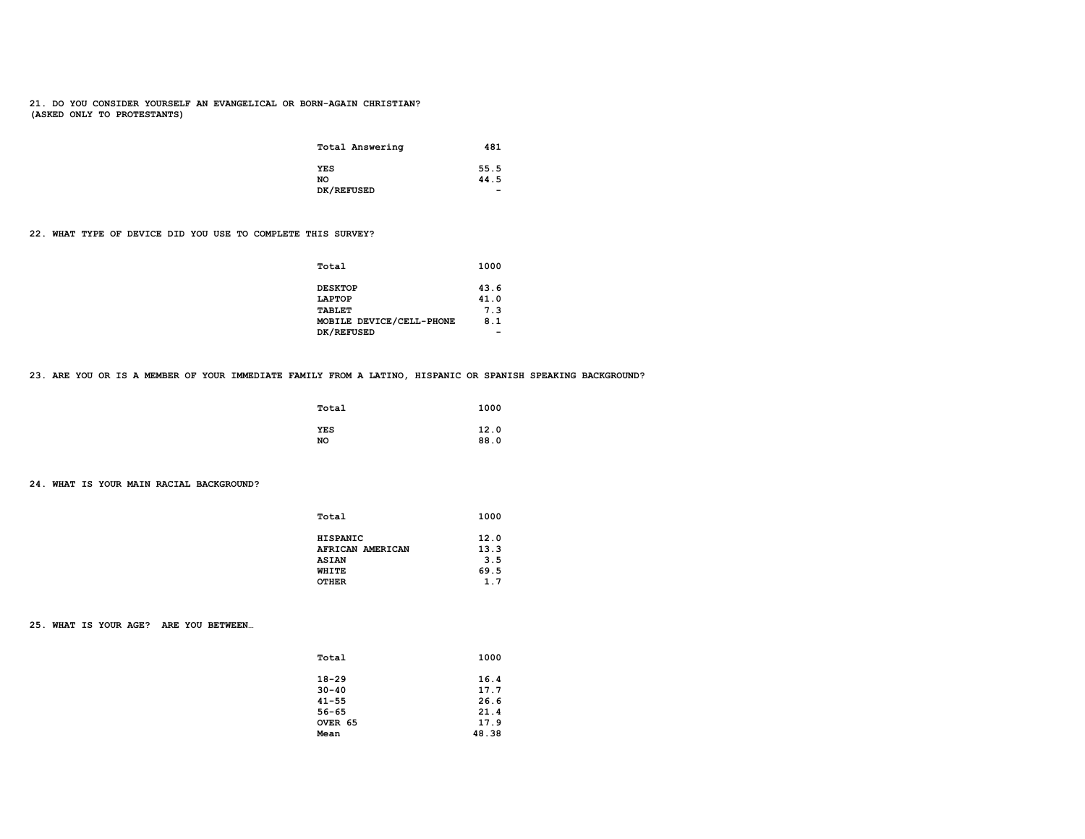## **21. DO YOU CONSIDER YOURSELF AN EVANGELICAL OR BORN-AGAIN CHRISTIAN? (ASKED ONLY TO PROTESTANTS)**

| Total Answering | 481                      |
|-----------------|--------------------------|
| YES             | 55.5                     |
| <b>NO</b>       | 44.5                     |
| DK/REFUSED      | $\overline{\phantom{0}}$ |

**22. WHAT TYPE OF DEVICE DID YOU USE TO COMPLETE THIS SURVEY?** 

| Total                    | 1000 |
|--------------------------|------|
| <b>DESKTOP</b>           | 43.6 |
| LAPTOP                   | 41.0 |
| <b>TABLET</b>            | 7.3  |
| MOBILE DEVICE/CELL-PHONE | 8.1  |
| DK/REFUSED               | -    |

**23. ARE YOU OR IS A MEMBER OF YOUR IMMEDIATE FAMILY FROM A LATINO, HISPANIC OR SPANISH SPEAKING BACKGROUND?** 

| Total | 1000 |
|-------|------|
| YES   | 12.0 |
| NO    | 88.0 |

## **24. WHAT IS YOUR MAIN RACIAL BACKGROUND?**

| Total            | 1000 |
|------------------|------|
| <b>HISPANIC</b>  | 12.0 |
| AFRICAN AMERICAN | 13.3 |
| <b>ASIAN</b>     | 3.5  |
| <b>WHITE</b>     | 69.5 |
| <b>OTHER</b>     | 1.7  |
|                  |      |

**25. WHAT IS YOUR AGE? ARE YOU BETWEEN…** 

| Total     | 1000  |
|-----------|-------|
| $18 - 29$ | 16.4  |
| $30 - 40$ | 17.7  |
| $41 - 55$ | 26.6  |
| $56 - 65$ | 21.4  |
| OVER 65   | 17.9  |
| Mean      | 48.38 |